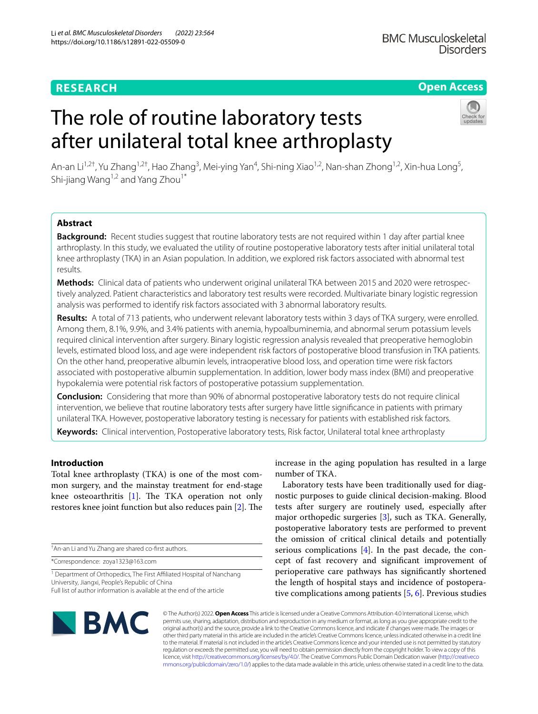# **RESEARCH**

# **Open Access**

# The role of routine laboratory tests after unilateral total knee arthroplasty



An-an Li<sup>1,2†</sup>, Yu Zhang<sup>1,2†</sup>, Hao Zhang<sup>3</sup>, Mei-ying Yan<sup>4</sup>, Shi-ning Xiao<sup>1,2</sup>, Nan-shan Zhong<sup>1,2</sup>, Xin-hua Long<sup>5</sup>, Shi-jiang Wang<sup>1,2</sup> and Yang Zhou<sup>1\*</sup>

# **Abstract**

**Background:** Recent studies suggest that routine laboratory tests are not required within 1 day after partial knee arthroplasty. In this study, we evaluated the utility of routine postoperative laboratory tests after initial unilateral total knee arthroplasty (TKA) in an Asian population. In addition, we explored risk factors associated with abnormal test results.

**Methods:** Clinical data of patients who underwent original unilateral TKA between 2015 and 2020 were retrospec‑ tively analyzed. Patient characteristics and laboratory test results were recorded. Multivariate binary logistic regression analysis was performed to identify risk factors associated with 3 abnormal laboratory results.

**Results:** A total of 713 patients, who underwent relevant laboratory tests within 3 days of TKA surgery, were enrolled. Among them, 8.1%, 9.9%, and 3.4% patients with anemia, hypoalbuminemia, and abnormal serum potassium levels required clinical intervention after surgery. Binary logistic regression analysis revealed that preoperative hemoglobin levels, estimated blood loss, and age were independent risk factors of postoperative blood transfusion in TKA patients. On the other hand, preoperative albumin levels, intraoperative blood loss, and operation time were risk factors associated with postoperative albumin supplementation. In addition, lower body mass index (BMI) and preoperative hypokalemia were potential risk factors of postoperative potassium supplementation.

**Conclusion:** Considering that more than 90% of abnormal postoperative laboratory tests do not require clinical intervention, we believe that routine laboratory tests after surgery have little signifcance in patients with primary unilateral TKA. However, postoperative laboratory testing is necessary for patients with established risk factors.

**Keywords:** Clinical intervention, Postoperative laboratory tests, Risk factor, Unilateral total knee arthroplasty

# **Introduction**

Total knee arthroplasty (TKA) is one of the most common surgery, and the mainstay treatment for end-stage knee osteoarthritis  $[1]$  $[1]$  $[1]$ . The TKA operation not only restores knee joint function but also reduces pain [[2](#page-6-1)]. The

† An-an Li and Yu Zhang are shared co-frst authors.

\*Correspondence: zoya1323@163.com

<sup>1</sup> Department of Orthopedics, The First Affiliated Hospital of Nanchang University, Jiangxi, People's Republic of China Full list of author information is available at the end of the article

increase in the aging population has resulted in a large number of TKA.

Laboratory tests have been traditionally used for diagnostic purposes to guide clinical decision-making. Blood tests after surgery are routinely used, especially after major orthopedic surgeries [[3](#page-6-2)], such as TKA. Generally, postoperative laboratory tests are performed to prevent the omission of critical clinical details and potentially serious complications [\[4](#page-6-3)]. In the past decade, the concept of fast recovery and signifcant improvement of perioperative care pathways has signifcantly shortened the length of hospital stays and incidence of postoperative complications among patients [\[5,](#page-6-4) [6](#page-6-5)]. Previous studies



© The Author(s) 2022. **Open Access** This article is licensed under a Creative Commons Attribution 4.0 International License, which permits use, sharing, adaptation, distribution and reproduction in any medium or format, as long as you give appropriate credit to the original author(s) and the source, provide a link to the Creative Commons licence, and indicate if changes were made. The images or other third party material in this article are included in the article's Creative Commons licence, unless indicated otherwise in a credit line to the material. If material is not included in the article's Creative Commons licence and your intended use is not permitted by statutory regulation or exceeds the permitted use, you will need to obtain permission directly from the copyright holder. To view a copy of this licence, visit [http://creativecommons.org/licenses/by/4.0/.](http://creativecommons.org/licenses/by/4.0/) The Creative Commons Public Domain Dedication waiver ([http://creativeco](http://creativecommons.org/publicdomain/zero/1.0/) [mmons.org/publicdomain/zero/1.0/](http://creativecommons.org/publicdomain/zero/1.0/)) applies to the data made available in this article, unless otherwise stated in a credit line to the data.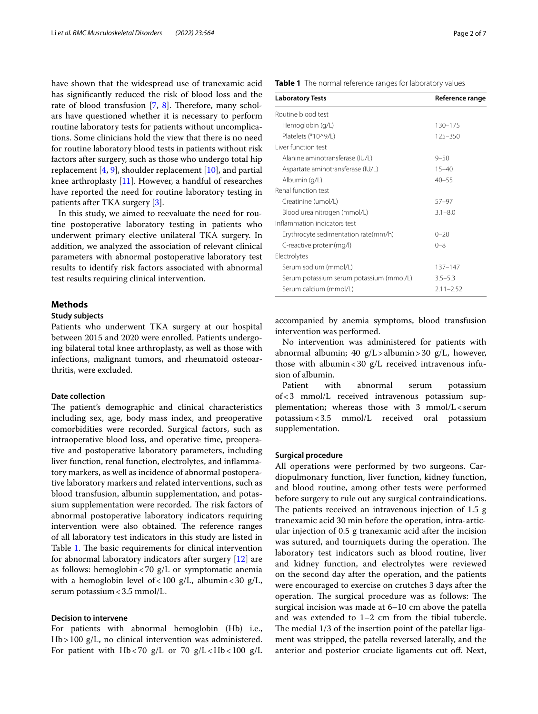have shown that the widespread use of tranexamic acid has signifcantly reduced the risk of blood loss and the rate of blood transfusion  $[7, 8]$  $[7, 8]$  $[7, 8]$  $[7, 8]$  $[7, 8]$ . Therefore, many scholars have questioned whether it is necessary to perform routine laboratory tests for patients without uncomplications. Some clinicians hold the view that there is no need for routine laboratory blood tests in patients without risk factors after surgery, such as those who undergo total hip replacement  $[4, 9]$  $[4, 9]$  $[4, 9]$  $[4, 9]$ , shoulder replacement  $[10]$  $[10]$ , and partial knee arthroplasty [\[11\]](#page-6-10). However, a handful of researches have reported the need for routine laboratory testing in patients after TKA surgery [\[3](#page-6-2)].

In this study, we aimed to reevaluate the need for routine postoperative laboratory testing in patients who underwent primary elective unilateral TKA surgery. In addition, we analyzed the association of relevant clinical parameters with abnormal postoperative laboratory test results to identify risk factors associated with abnormal test results requiring clinical intervention.

### **Methods**

## **Study subjects**

Patients who underwent TKA surgery at our hospital between 2015 and 2020 were enrolled. Patients undergoing bilateral total knee arthroplasty, as well as those with infections, malignant tumors, and rheumatoid osteoarthritis, were excluded.

#### **Date collection**

The patient's demographic and clinical characteristics including sex, age, body mass index, and preoperative comorbidities were recorded. Surgical factors, such as intraoperative blood loss, and operative time, preoperative and postoperative laboratory parameters, including liver function, renal function, electrolytes, and infammatory markers, as well as incidence of abnormal postoperative laboratory markers and related interventions, such as blood transfusion, albumin supplementation, and potassium supplementation were recorded. The risk factors of abnormal postoperative laboratory indicators requiring intervention were also obtained. The reference ranges of all laboratory test indicators in this study are listed in Table [1.](#page-1-0) The basic requirements for clinical intervention for abnormal laboratory indicators after surgery [[12\]](#page-6-11) are as follows: hemoglobin < 70  $g/L$  or symptomatic anemia with a hemoglobin level of < 100  $g/L$ , albumin < 30  $g/L$ , serum potassium < 3.5 mmol/L.

#### **Decision to intervene**

For patients with abnormal hemoglobin (Hb) i.e., Hb>100 g/L, no clinical intervention was administered. For patient with Hb < 70  $g/L$  or 70  $g/L$  < Hb < 100  $g/L$  <span id="page-1-0"></span>**Table 1** The normal reference ranges for laboratory values

| <b>Laboratory Tests</b>                  | Reference range |
|------------------------------------------|-----------------|
| Routine blood test                       |                 |
| Hemoglobin (g/L)                         | 130-175         |
| Platelets (*10^9/L)                      | 125-350         |
| Liver function test                      |                 |
| Alanine aminotransferase (IU/L)          | $9 - 50$        |
| Aspartate aminotransferase (IU/L)        | $15 - 40$       |
| Albumin (g/L)                            | $40 - 55$       |
| Renal function test                      |                 |
| Creatinine (umol/L)                      | $57 - 97$       |
| Blood urea nitrogen (mmol/L)             | $3.1 - 8.0$     |
| Inflammation indicators test             |                 |
| Erythrocyte sedimentation rate(mm/h)     | $0 - 20$        |
| C-reactive protein(mg/l)                 | $0 - 8$         |
| Electrolytes                             |                 |
| Serum sodium (mmol/L)                    | $137 - 147$     |
| Serum potassium serum potassium (mmol/L) | $3.5 - 5.3$     |
| Serum calcium (mmol/L)                   | $2.11 - 2.52$   |

accompanied by anemia symptoms, blood transfusion intervention was performed.

No intervention was administered for patients with abnormal albumin; 40 g/L>albumin>30 g/L, however, those with albumin < 30  $g/L$  received intravenous infusion of albumin.

Patient with abnormal serum potassium of<3 mmol/L received intravenous potassium supplementation; whereas those with  $3$  mmol/L < serum potassium<3.5 mmol/L received oral potassium supplementation.

#### **Surgical procedure**

All operations were performed by two surgeons. Cardiopulmonary function, liver function, kidney function, and blood routine, among other tests were performed before surgery to rule out any surgical contraindications. The patients received an intravenous injection of  $1.5 \text{ g}$ tranexamic acid 30 min before the operation, intra-articular injection of 0.5 g tranexamic acid after the incision was sutured, and tourniquets during the operation. The laboratory test indicators such as blood routine, liver and kidney function, and electrolytes were reviewed on the second day after the operation, and the patients were encouraged to exercise on crutches 3 days after the operation. The surgical procedure was as follows: The surgical incision was made at 6–10 cm above the patella and was extended to 1–2 cm from the tibial tubercle. The medial 1/3 of the insertion point of the patellar ligament was stripped, the patella reversed laterally, and the anterior and posterior cruciate ligaments cut off. Next,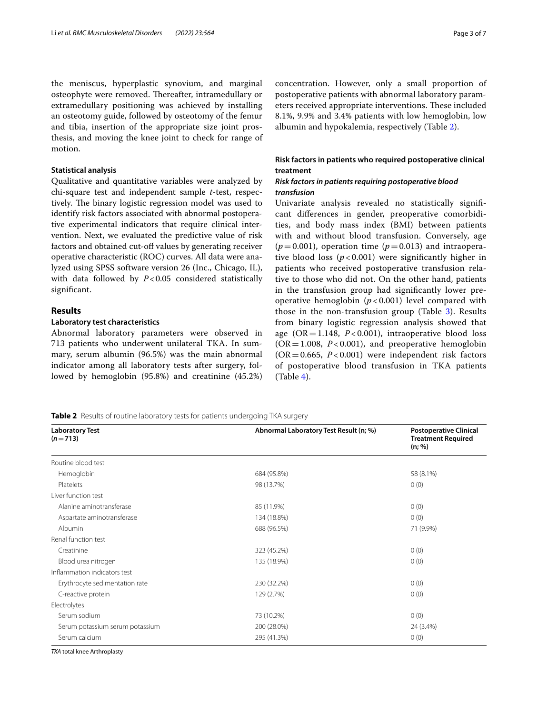the meniscus, hyperplastic synovium, and marginal osteophyte were removed. Thereafter, intramedullary or extramedullary positioning was achieved by installing an osteotomy guide, followed by osteotomy of the femur and tibia, insertion of the appropriate size joint prosthesis, and moving the knee joint to check for range of motion.

#### **Statistical analysis**

Qualitative and quantitative variables were analyzed by chi-square test and independent sample *t*-test, respectively. The binary logistic regression model was used to identify risk factors associated with abnormal postoperative experimental indicators that require clinical intervention. Next, we evaluated the predictive value of risk factors and obtained cut-off values by generating receiver operative characteristic (ROC) curves. All data were analyzed using SPSS software version 26 (Inc., Chicago, IL), with data followed by *P*<0.05 considered statistically significant.

# **Results**

#### **Laboratory test characteristics**

Abnormal laboratory parameters were observed in 713 patients who underwent unilateral TKA. In summary, serum albumin (96.5%) was the main abnormal indicator among all laboratory tests after surgery, followed by hemoglobin (95.8%) and creatinine (45.2%) concentration. However, only a small proportion of postoperative patients with abnormal laboratory parameters received appropriate interventions. These included 8.1%, 9.9% and 3.4% patients with low hemoglobin, low albumin and hypokalemia, respectively (Table [2\)](#page-2-0).

# **Risk factors in patients who required postoperative clinical treatment**

# *Risk factors in patients requiring postoperative blood transfusion*

Univariate analysis revealed no statistically signifcant diferences in gender, preoperative comorbidities, and body mass index (BMI) between patients with and without blood transfusion. Conversely, age  $(p=0.001)$ , operation time  $(p=0.013)$  and intraoperative blood loss ( $p < 0.001$ ) were significantly higher in patients who received postoperative transfusion relative to those who did not. On the other hand, patients in the transfusion group had signifcantly lower preoperative hemoglobin (*p* < 0.001) level compared with those in the non-transfusion group (Table [3](#page-3-0)). Results from binary logistic regression analysis showed that age ( $OR = 1.148$ ,  $P < 0.001$ ), intraoperative blood loss  $(OR = 1.008, P < 0.001)$ , and preoperative hemoglobin  $(OR = 0.665, P < 0.001)$  were independent risk factors of postoperative blood transfusion in TKA patients  $(Table 4).$  $(Table 4).$  $(Table 4).$ 

<span id="page-2-0"></span>**Table 2** Results of routine laboratory tests for patients undergoing TKA surgery

| <b>Laboratory Test</b><br>$(n=713)$ | Abnormal Laboratory Test Result (n; %) | <b>Postoperative Clinical</b><br><b>Treatment Required</b><br>(n; %) |
|-------------------------------------|----------------------------------------|----------------------------------------------------------------------|
| Routine blood test                  |                                        |                                                                      |
| Hemoglobin                          | 684 (95.8%)                            | 58 (8.1%)                                                            |
| Platelets                           | 98 (13.7%)                             | 0(0)                                                                 |
| Liver function test                 |                                        |                                                                      |
| Alanine aminotransferase            | 85 (11.9%)                             | 0(0)                                                                 |
| Aspartate aminotransferase          | 134 (18.8%)                            | 0(0)                                                                 |
| Albumin                             | 688 (96.5%)                            | 71 (9.9%)                                                            |
| Renal function test                 |                                        |                                                                      |
| Creatinine                          | 323 (45.2%)                            | 0(0)                                                                 |
| Blood urea nitrogen                 | 135 (18.9%)                            | 0(0)                                                                 |
| Inflammation indicators test        |                                        |                                                                      |
| Erythrocyte sedimentation rate      | 230 (32.2%)                            | 0(0)                                                                 |
| C-reactive protein                  | 129 (2.7%)                             | 0(0)                                                                 |
| Electrolytes                        |                                        |                                                                      |
| Serum sodium                        | 73 (10.2%)                             | 0(0)                                                                 |
| Serum potassium serum potassium     | 200 (28.0%)                            | 24 (3.4%)                                                            |
| Serum calcium                       | 295 (41.3%)                            | 0(0)                                                                 |

*TKA* total knee Arthroplasty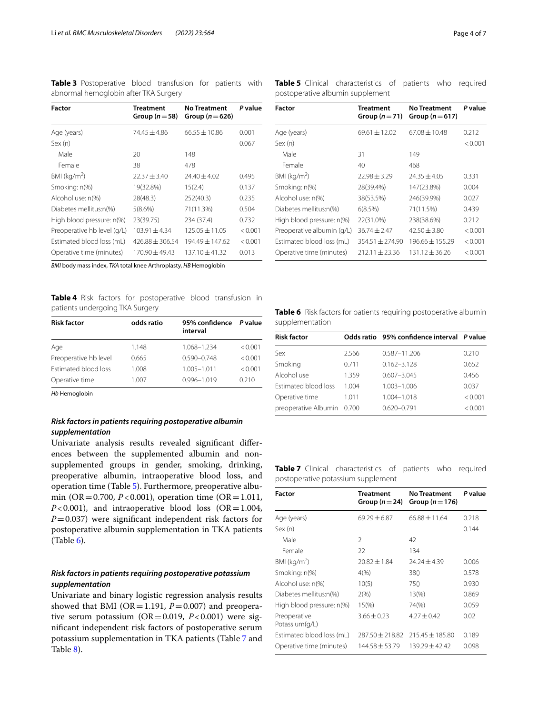<span id="page-3-0"></span>**Table 3** Postoperative blood transfusion for patients with abnormal hemoglobin after TKA Surgery

| Factor                      | <b>Treatment</b><br>Group $(n=58)$ | <b>No Treatment</b><br>Group ( $n = 626$ ) | P value |
|-----------------------------|------------------------------------|--------------------------------------------|---------|
| Age (years)                 | $74.45 + 4.86$                     | $66.55 \pm 10.86$                          | 0.001   |
| Sex (n)                     |                                    |                                            | 0.067   |
| Male                        | 20                                 | 148                                        |         |
| Female                      | 38                                 | 478                                        |         |
| BMI ( $kg/m2$ )             | $22.37 \pm 3.40$                   | $74.40 + 4.02$                             | 0.495   |
| Smoking: n(%)               | 19(32.8%)                          | 15(2.4)                                    | 0.137   |
| Alcohol use: n(%)           | 28(48.3)                           | 252(40.3)                                  | 0.235   |
| Diabetes mellitus:n(%)      | 5(8.6%)                            | 71(11.3%)                                  | 0.504   |
| High blood pressure: n(%)   | 23(39.75)                          | 234 (37.4)                                 | 0.732   |
| Preoperative hb level (g/L) | $103.91 + 4.34$                    | $125.05 \pm 11.05$                         | < 0.001 |
| Estimated blood loss (mL)   | $426.88 + 306.54$                  | $194.49 + 147.62$                          | < 0.001 |
| Operative time (minutes)    | $170.90 \pm 49.43$                 | 137.10±41.32                               | 0.013   |

*BMI* body mass index, *TKA* total knee Arthroplasty, *HB* Hemoglobin

<span id="page-3-1"></span>**Table 4** Risk factors for postoperative blood transfusion in patients undergoing TKA Surgery

| <b>Risk factor</b>    | odds ratio | 95% confidence<br>interval | <i>P</i> value |
|-----------------------|------------|----------------------------|----------------|
| Age                   | 1.148      | 1.068-1.234                | < 0.001        |
| Preoperative hb level | 0.665      | $0.590 - 0.748$            | < 0.001        |
| Estimated blood loss  | 1.008      | $1.005 - 1.011$            | < 0.001        |
| Operative time        | 1.007      | $0.996 - 1.019$            | 0.210          |

*Hb* Hemoglobin

# *Risk factors in patients requiring postoperative albumin supplementation*

Univariate analysis results revealed signifcant diferences between the supplemented albumin and nonsupplemented groups in gender, smoking, drinking, preoperative albumin, intraoperative blood loss, and operation time (Table [5\)](#page-3-2). Furthermore, preoperative albumin (OR=0.700, *P*<0.001), operation time (OR=1.011,  $P < 0.001$ ), and intraoperative blood loss (OR = 1.004, *P*=0.037) were signifcant independent risk factors for postoperative albumin supplementation in TKA patients (Table [6](#page-3-3)).

# *Risk factors in patients requiring postoperative potassium supplementation*

Univariate and binary logistic regression analysis results showed that BMI ( $OR = 1.191$ ,  $P = 0.007$ ) and preoperative serum potassium (OR=0.019,  $P < 0.001$ ) were signifcant independent risk factors of postoperative serum potassium supplementation in TKA patients (Table [7](#page-3-4) and Table [8](#page-4-0)).

<span id="page-3-2"></span>**Table 5** Clinical characteristics of patients who required postoperative albumin supplement

| Factor                     | Treatment<br>Group $(n=71)$ | <b>No Treatment</b><br>Group ( $n = 617$ ) | P value |
|----------------------------|-----------------------------|--------------------------------------------|---------|
| Age (years)                | $69.61 \pm 12.02$           | $67.08 \pm 10.48$                          | 0.212   |
| Sex (n)                    |                             |                                            | < 0.001 |
| Male                       | 31                          | 149                                        |         |
| Female                     | 40                          | 468                                        |         |
| BMI ( $kg/m2$ )            | $72.98 + 3.29$              | $74.35 + 4.05$                             | 0.331   |
| Smoking: n(%)              | 28(39.4%)                   | 147(23.8%)                                 | 0.004   |
| Alcohol use: n(%)          | 38(53.5%)                   | 246(39.9%)                                 | 0.027   |
| Diabetes mellitus:n(%)     | 6(8.5%)                     | 71(11.5%)                                  | 0.439   |
| High blood pressure: n(%)  | 22(31.0%)                   | 238(38.6%)                                 | 0.212   |
| Preoperative albumin (g/L) | $36.74 + 2.47$              | $42.50 + 3.80$                             | < 0.001 |
| Estimated blood loss (mL)  | $354.51 \pm 274.90$         | $196.66 + 155.29$                          | < 0.001 |
| Operative time (minutes)   | $212.11 \pm 23.36$          | 131.12±36.26                               | < 0.001 |

<span id="page-3-3"></span>**Table 6** Risk factors for patients requiring postoperative albumin supplementation

| <b>Risk factor</b>   |       | Odds ratio 95% confidence interval P value |         |
|----------------------|-------|--------------------------------------------|---------|
| Sex                  | 2.566 | 0.587-11.206                               | 0.210   |
| Smoking              | 0.711 | $0.162 - 3.128$                            | 0.652   |
| Alcohol use          | 1.359 | $0.607 - 3.045$                            | 0.456   |
| Estimated blood loss | 1.004 | 1.003-1.006                                | 0.037   |
| Operative time       | 1.011 | $1.004 - 1.018$                            | < 0.001 |
| preoperative Albumin | 0.700 | $0.620 - 0.791$                            | < 0.001 |

<span id="page-3-4"></span>**Table 7** Clinical characteristics of patients who required postoperative potassium supplement

| Factor                         | <b>Treatment</b><br>Group $(n=24)$ | <b>No Treatment</b><br>Group ( $n = 176$ ) | P value |
|--------------------------------|------------------------------------|--------------------------------------------|---------|
| Age (years)                    | $69.29 + 6.87$                     | $66.88 \pm 11.64$                          | 0.218   |
| Sex (n)                        |                                    |                                            | 0.144   |
| Male                           | $\mathcal{P}$                      | 42                                         |         |
| Female                         | 22                                 | 134                                        |         |
| BMI ( $kg/m2$ )                | $20.82 \pm 1.84$                   | $74.24 + 4.39$                             | 0.006   |
| Smoking: n(%)                  | $4\frac{9}{6}$                     | 38()                                       | 0.578   |
| Alcohol use: n(%)              | 10(5)                              | 750                                        | 0.930   |
| Diabetes mellitus:n(%)         | 2(%)                               | 13(%)                                      | 0.869   |
| High blood pressure: n(%)      | $15\%$                             | 74(%)                                      | 0.059   |
| Preoperative<br>Potassium(g/L) | $3.66 + 0.23$                      | $4.27 + 0.42$                              | 0.02    |
| Estimated blood loss (mL)      | $287.50 + 218.82$                  | $215.45 + 185.80$                          | 0.189   |
| Operative time (minutes)       | $144.58 + 53.79$                   | $139.29 + 42.42$                           | 0.098   |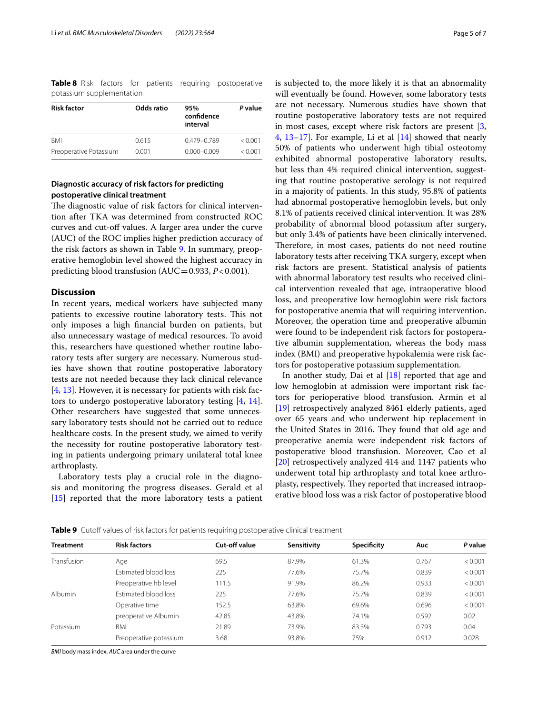<span id="page-4-0"></span>**Table 8** Risk factors for patients requiring postoperative potassium supplementation

| <b>Risk factor</b>     | Odds ratio | 95%<br>confidence<br>interval | P value |
|------------------------|------------|-------------------------------|---------|
| <b>BMI</b>             | 0.615      | 0.479-0.789                   | < 0.001 |
| Preoperative Potassium | 0.001      | $0.000 - 0.009$               | < 0.001 |

# **Diagnostic accuracy of risk factors for predicting postoperative clinical treatment**

The diagnostic value of risk factors for clinical intervention after TKA was determined from constructed ROC curves and cut-off values. A larger area under the curve (AUC) of the ROC implies higher prediction accuracy of the risk factors as shown in Table [9](#page-4-1). In summary, preoperative hemoglobin level showed the highest accuracy in predicting blood transfusion  $(AUC=0.933, P<0.001)$ .

#### **Discussion**

In recent years, medical workers have subjected many patients to excessive routine laboratory tests. This not only imposes a high fnancial burden on patients, but also unnecessary wastage of medical resources. To avoid this, researchers have questioned whether routine laboratory tests after surgery are necessary. Numerous studies have shown that routine postoperative laboratory tests are not needed because they lack clinical relevance [[4,](#page-6-3) [13](#page-6-12)]. However, it is necessary for patients with risk factors to undergo postoperative laboratory testing [[4,](#page-6-3) [14](#page-6-13)]. Other researchers have suggested that some unnecessary laboratory tests should not be carried out to reduce healthcare costs. In the present study, we aimed to verify the necessity for routine postoperative laboratory testing in patients undergoing primary unilateral total knee arthroplasty.

Laboratory tests play a crucial role in the diagnosis and monitoring the progress diseases. Gerald et al [[15\]](#page-6-14) reported that the more laboratory tests a patient is subjected to, the more likely it is that an abnormality will eventually be found. However, some laboratory tests are not necessary. Numerous studies have shown that routine postoperative laboratory tests are not required in most cases, except where risk factors are present [\[3](#page-6-2), [4,](#page-6-3) [13](#page-6-12)[–17\]](#page-6-15). For example, Li et al [[14\]](#page-6-13) showed that nearly 50% of patients who underwent high tibial osteotomy exhibited abnormal postoperative laboratory results, but less than 4% required clinical intervention, suggesting that routine postoperative serology is not required in a majority of patients. In this study, 95.8% of patients had abnormal postoperative hemoglobin levels, but only 8.1% of patients received clinical intervention. It was 28% probability of abnormal blood potassium after surgery, but only 3.4% of patients have been clinically intervened. Therefore, in most cases, patients do not need routine laboratory tests after receiving TKA surgery, except when risk factors are present. Statistical analysis of patients with abnormal laboratory test results who received clinical intervention revealed that age, intraoperative blood loss, and preoperative low hemoglobin were risk factors for postoperative anemia that will requiring intervention. Moreover, the operation time and preoperative albumin were found to be independent risk factors for postoperative albumin supplementation, whereas the body mass index (BMI) and preoperative hypokalemia were risk factors for postoperative potassium supplementation.

In another study, Dai et al  $[18]$  $[18]$  reported that age and low hemoglobin at admission were important risk factors for perioperative blood transfusion. Armin et al [[19\]](#page-6-17) retrospectively analyzed 8461 elderly patients, aged over 65 years and who underwent hip replacement in the United States in 2016. They found that old age and preoperative anemia were independent risk factors of postoperative blood transfusion. Moreover, Cao et al [[20\]](#page-6-18) retrospectively analyzed 414 and 1147 patients who underwent total hip arthroplasty and total knee arthroplasty, respectively. They reported that increased intraoperative blood loss was a risk factor of postoperative blood

<span id="page-4-1"></span>**Table 9** Cutoff values of risk factors for patients requiring postoperative clinical treatment

| <b>Treatment</b> | <b>Risk factors</b>         | Cut-off value | Sensitivity | Specificity | Auc   | P value |
|------------------|-----------------------------|---------------|-------------|-------------|-------|---------|
| Transfusion      | Age                         | 69.5          | 87.9%       | 61.3%       | 0.767 | < 0.001 |
|                  | <b>Estimated blood loss</b> | 225           | 77.6%       | 75.7%       | 0.839 | < 0.001 |
|                  | Preoperative hb level       | 111.5         | 91.9%       | 86.2%       | 0.933 | < 0.001 |
| <b>Albumin</b>   | Estimated blood loss        | 225           | 77.6%       | 75.7%       | 0.839 | < 0.001 |
|                  | Operative time              | 152.5         | 63.8%       | 69.6%       | 0.696 | < 0.001 |
|                  | preoperative Albumin        | 42.85         | 43.8%       | 74.1%       | 0.592 | 0.02    |
| Potassium        | BMI                         | 21.89         | 73.9%       | 83.3%       | 0.793 | 0.04    |
|                  | Preoperative potassium      | 3.68          | 93.8%       | 75%         | 0.912 | 0.028   |
|                  |                             |               |             |             |       |         |

*BMI* body mass index, *AUC* area under the curve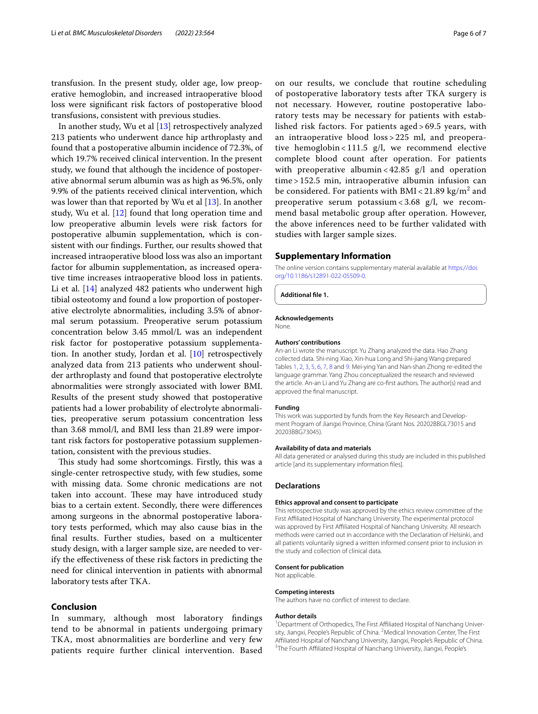transfusion. In the present study, older age, low preoperative hemoglobin, and increased intraoperative blood loss were signifcant risk factors of postoperative blood transfusions, consistent with previous studies.

In another study, Wu et al [\[13](#page-6-12)] retrospectively analyzed 213 patients who underwent dance hip arthroplasty and found that a postoperative albumin incidence of 72.3%, of which 19.7% received clinical intervention. In the present study, we found that although the incidence of postoperative abnormal serum albumin was as high as 96.5%, only 9.9% of the patients received clinical intervention, which was lower than that reported by Wu et al [[13\]](#page-6-12). In another study, Wu et al. [[12\]](#page-6-11) found that long operation time and low preoperative albumin levels were risk factors for postoperative albumin supplementation, which is consistent with our fndings. Further, our results showed that increased intraoperative blood loss was also an important factor for albumin supplementation, as increased operative time increases intraoperative blood loss in patients. Li et al. [[14\]](#page-6-13) analyzed 482 patients who underwent high tibial osteotomy and found a low proportion of postoperative electrolyte abnormalities, including 3.5% of abnormal serum potassium. Preoperative serum potassium concentration below 3.45 mmol/L was an independent risk factor for postoperative potassium supplementation. In another study, Jordan et al. [\[10](#page-6-9)] retrospectively analyzed data from 213 patients who underwent shoulder arthroplasty and found that postoperative electrolyte abnormalities were strongly associated with lower BMI. Results of the present study showed that postoperative patients had a lower probability of electrolyte abnormalities, preoperative serum potassium concentration less than 3.68 mmol/l, and BMI less than 21.89 were important risk factors for postoperative potassium supplementation, consistent with the previous studies.

This study had some shortcomings. Firstly, this was a single-center retrospective study, with few studies, some with missing data. Some chronic medications are not taken into account. These may have introduced study bias to a certain extent. Secondly, there were diferences among surgeons in the abnormal postoperative laboratory tests performed, which may also cause bias in the fnal results. Further studies, based on a multicenter study design, with a larger sample size, are needed to verify the efectiveness of these risk factors in predicting the need for clinical intervention in patients with abnormal laboratory tests after TKA.

## **Conclusion**

In summary, although most laboratory fndings tend to be abnormal in patients undergoing primary TKA, most abnormalities are borderline and very few patients require further clinical intervention. Based

on our results, we conclude that routine scheduling of postoperative laboratory tests after TKA surgery is not necessary. However, routine postoperative laboratory tests may be necessary for patients with established risk factors. For patients aged > 69.5 years, with an intraoperative blood loss > 225 ml, and preoperative hemoglobin < 111.5 g/l, we recommend elective complete blood count after operation. For patients with preoperative albumin < 42.85 g/l and operation time > 152.5 min, intraoperative albumin infusion can be considered. For patients with  $\text{BMI} < 21.89 \text{ kg/m}^2$  and preoperative serum potassium <  $3.68$  g/l, we recommend basal metabolic group after operation. However, the above inferences need to be further validated with studies with larger sample sizes.

#### **Supplementary Information**

The online version contains supplementary material available at [https://doi.](https://doi.org/10.1186/s12891-022-05509-0) [org/10.1186/s12891-022-05509-0](https://doi.org/10.1186/s12891-022-05509-0).

**Additional fle 1.**

#### **Acknowledgements**

None.

#### **Authors' contributions**

An-an Li wrote the manuscript. Yu Zhang analyzed the data. Hao Zhang collected data. Shi-ning Xiao, Xin-hua Long and Shi-jiang Wang prepared Tables [1,](#page-1-0) [2](#page-2-0), [3,](#page-3-0) [5](#page-3-2), [6](#page-3-3), [7,](#page-3-4) [8](#page-4-0) and [9.](#page-4-1) Mei-ying Yan and Nan-shan Zhong re-edited the language grammar. Yang Zhou conceptualized the research and reviewed the article. An-an Li and Yu Zhang are co-frst authors. The author(s) read and approved the fnal manuscript.

#### **Funding**

This work was supported by funds from the Key Research and Development Program of Jiangxi Province, China (Grant Nos. 20202BBGL73015 and 20203BBG73045).

#### **Availability of data and materials**

All data generated or analysed during this study are included in this published article [and its supplementary information fles].

#### **Declarations**

#### **Ethics approval and consent to participate**

This retrospective study was approved by the ethics review committee of the First Afliated Hospital of Nanchang University. The experimental protocol was approved by First Afliated Hospital of Nanchang University. All research methods were carried out in accordance with the Declaration of Helsinki, and all patients voluntarily signed a written informed consent prior to inclusion in the study and collection of clinical data.

#### **Consent for publication**

Not applicable.

#### **Competing interests**

The authors have no confict of interest to declare.

#### **Author details**

<sup>1</sup> Department of Orthopedics, The First Affiliated Hospital of Nanchang University, Jiangxi, People's Republic of China. <sup>2</sup> Medical Innovation Center, The First Affiliated Hospital of Nanchang University, Jiangxi, People's Republic of China. <sup>3</sup>The Fourth Affiliated Hospital of Nanchang University, Jiangxi, People's